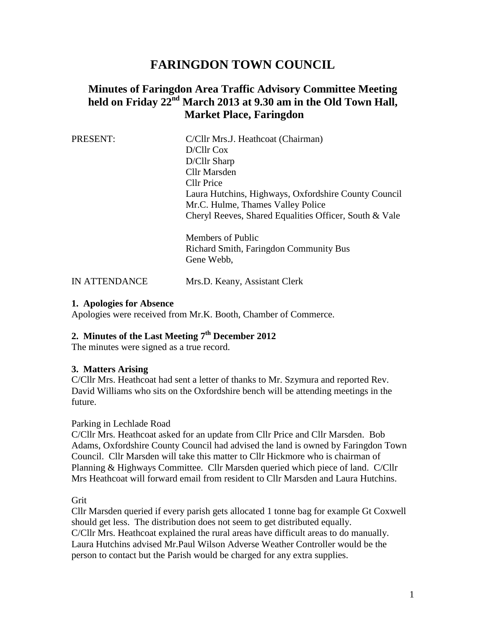# **FARINGDON TOWN COUNCIL**

## **Minutes of Faringdon Area Traffic Advisory Committee Meeting held on Friday 22nd March 2013 at 9.30 am in the Old Town Hall, Market Place, Faringdon**

| PRESENT: | C/Cllr Mrs.J. Heathcoat (Chairman)                     |
|----------|--------------------------------------------------------|
|          | D/Cllr Cox                                             |
|          | D/Cllr Sharp                                           |
|          | Cllr Marsden                                           |
|          | Cllr Price                                             |
|          | Laura Hutchins, Highways, Oxfordshire County Council   |
|          | Mr.C. Hulme, Thames Valley Police                      |
|          | Cheryl Reeves, Shared Equalities Officer, South & Vale |
|          | Members of Public                                      |
|          | Richard Smith, Faringdon Community Bus                 |
|          | Gene Webb,                                             |
|          |                                                        |

IN ATTENDANCE Mrs.D. Keany, Assistant Clerk

#### **1. Apologies for Absence**

Apologies were received from Mr.K. Booth, Chamber of Commerce.

## **2. Minutes of the Last Meeting 7 th December 2012**

The minutes were signed as a true record.

## **3. Matters Arising**

C/Cllr Mrs. Heathcoat had sent a letter of thanks to Mr. Szymura and reported Rev. David Williams who sits on the Oxfordshire bench will be attending meetings in the future.

#### Parking in Lechlade Road

C/Cllr Mrs. Heathcoat asked for an update from Cllr Price and Cllr Marsden. Bob Adams, Oxfordshire County Council had advised the land is owned by Faringdon Town Council. Cllr Marsden will take this matter to Cllr Hickmore who is chairman of Planning & Highways Committee. Cllr Marsden queried which piece of land. C/Cllr Mrs Heathcoat will forward email from resident to Cllr Marsden and Laura Hutchins.

Grit

Cllr Marsden queried if every parish gets allocated 1 tonne bag for example Gt Coxwell should get less. The distribution does not seem to get distributed equally. C/Cllr Mrs. Heathcoat explained the rural areas have difficult areas to do manually. Laura Hutchins advised Mr.Paul Wilson Adverse Weather Controller would be the person to contact but the Parish would be charged for any extra supplies.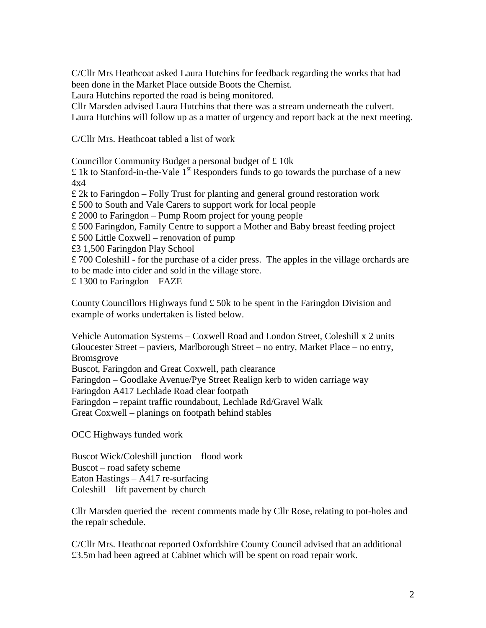C/Cllr Mrs Heathcoat asked Laura Hutchins for feedback regarding the works that had been done in the Market Place outside Boots the Chemist.

Laura Hutchins reported the road is being monitored.

Cllr Marsden advised Laura Hutchins that there was a stream underneath the culvert. Laura Hutchins will follow up as a matter of urgency and report back at the next meeting.

C/Cllr Mrs. Heathcoat tabled a list of work

Councillor Community Budget a personal budget of £ 10k

£ 1k to Stanford-in-the-Vale  $1<sup>st</sup>$  Responders funds to go towards the purchase of a new 4x4

£ 2k to Faringdon – Folly Trust for planting and general ground restoration work

£ 500 to South and Vale Carers to support work for local people

£ 2000 to Faringdon – Pump Room project for young people

£ 500 Faringdon, Family Centre to support a Mother and Baby breast feeding project

£ 500 Little Coxwell – renovation of pump

£3 1,500 Faringdon Play School

£ 700 Coleshill - for the purchase of a cider press. The apples in the village orchards are to be made into cider and sold in the village store.

£ 1300 to Faringdon – FAZE

County Councillors Highways fund  $\pounds$  50k to be spent in the Faringdon Division and example of works undertaken is listed below.

Vehicle Automation Systems – Coxwell Road and London Street, Coleshill x 2 units Gloucester Street – paviers, Marlborough Street – no entry, Market Place – no entry, Bromsgrove

Buscot, Faringdon and Great Coxwell, path clearance

Faringdon – Goodlake Avenue/Pye Street Realign kerb to widen carriage way

Faringdon A417 Lechlade Road clear footpath

Faringdon – repaint traffic roundabout, Lechlade Rd/Gravel Walk

Great Coxwell – planings on footpath behind stables

OCC Highways funded work

Buscot Wick/Coleshill junction – flood work Buscot – road safety scheme Eaton Hastings – A417 re-surfacing Coleshill – lift pavement by church

Cllr Marsden queried the recent comments made by Cllr Rose, relating to pot-holes and the repair schedule.

C/Cllr Mrs. Heathcoat reported Oxfordshire County Council advised that an additional £3.5m had been agreed at Cabinet which will be spent on road repair work.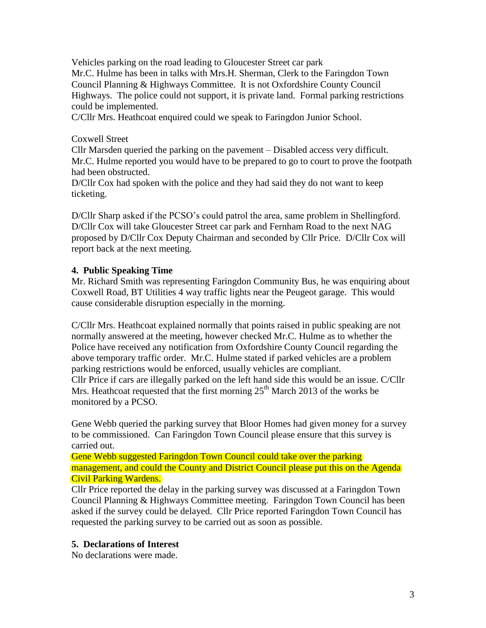Vehicles parking on the road leading to Gloucester Street car park Mr.C. Hulme has been in talks with Mrs.H. Sherman, Clerk to the Faringdon Town Council Planning & Highways Committee. It is not Oxfordshire County Council Highways. The police could not support, it is private land. Formal parking restrictions could be implemented.

C/Cllr Mrs. Heathcoat enquired could we speak to Faringdon Junior School.

## Coxwell Street

Cllr Marsden queried the parking on the pavement – Disabled access very difficult. Mr.C. Hulme reported you would have to be prepared to go to court to prove the footpath had been obstructed.

D/Cllr Cox had spoken with the police and they had said they do not want to keep ticketing.

D/Cllr Sharp asked if the PCSO's could patrol the area, same problem in Shellingford. D/Cllr Cox will take Gloucester Street car park and Fernham Road to the next NAG proposed by D/Cllr Cox Deputy Chairman and seconded by Cllr Price. D/Cllr Cox will report back at the next meeting.

## **4. Public Speaking Time**

Mr. Richard Smith was representing Faringdon Community Bus, he was enquiring about Coxwell Road, BT Utilities 4 way traffic lights near the Peugeot garage. This would cause considerable disruption especially in the morning.

C/Cllr Mrs. Heathcoat explained normally that points raised in public speaking are not normally answered at the meeting, however checked Mr.C. Hulme as to whether the Police have received any notification from Oxfordshire County Council regarding the above temporary traffic order. Mr.C. Hulme stated if parked vehicles are a problem parking restrictions would be enforced, usually vehicles are compliant. Cllr Price if cars are illegally parked on the left hand side this would be an issue. C/Cllr Mrs. Heathcoat requested that the first morning  $25<sup>th</sup>$  March 2013 of the works be monitored by a PCSO.

Gene Webb queried the parking survey that Bloor Homes had given money for a survey to be commissioned. Can Faringdon Town Council please ensure that this survey is carried out.

Gene Webb suggested Faringdon Town Council could take over the parking management, and could the County and District Council please put this on the Agenda Civil Parking Wardens.

Cllr Price reported the delay in the parking survey was discussed at a Faringdon Town Council Planning & Highways Committee meeting. Faringdon Town Council has been asked if the survey could be delayed. Cllr Price reported Faringdon Town Council has requested the parking survey to be carried out as soon as possible.

## **5. Declarations of Interest**

No declarations were made.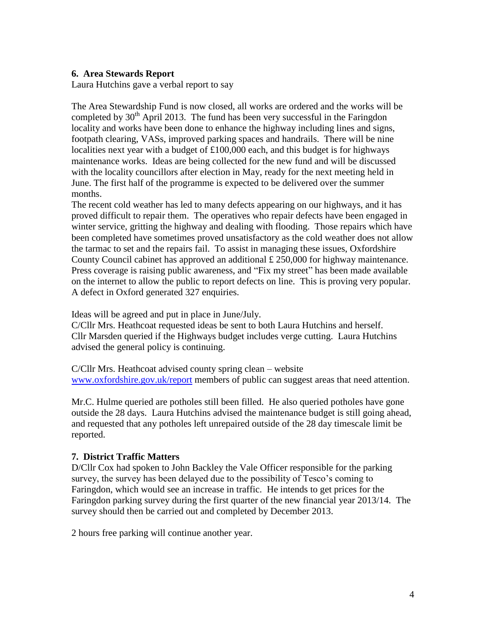#### **6. Area Stewards Report**

Laura Hutchins gave a verbal report to say

The Area Stewardship Fund is now closed, all works are ordered and the works will be completed by  $30<sup>th</sup>$  April 2013. The fund has been very successful in the Faringdon locality and works have been done to enhance the highway including lines and signs, footpath clearing, VASs, improved parking spaces and handrails. There will be nine localities next year with a budget of £100,000 each, and this budget is for highways maintenance works. Ideas are being collected for the new fund and will be discussed with the locality councillors after election in May, ready for the next meeting held in June. The first half of the programme is expected to be delivered over the summer months.

The recent cold weather has led to many defects appearing on our highways, and it has proved difficult to repair them. The operatives who repair defects have been engaged in winter service, gritting the highway and dealing with flooding. Those repairs which have been completed have sometimes proved unsatisfactory as the cold weather does not allow the tarmac to set and the repairs fail. To assist in managing these issues, Oxfordshire County Council cabinet has approved an additional  $\pounds$  250,000 for highway maintenance. Press coverage is raising public awareness, and "Fix my street" has been made available on the internet to allow the public to report defects on line. This is proving very popular. A defect in Oxford generated 327 enquiries.

Ideas will be agreed and put in place in June/July.

C/Cllr Mrs. Heathcoat requested ideas be sent to both Laura Hutchins and herself. Cllr Marsden queried if the Highways budget includes verge cutting. Laura Hutchins advised the general policy is continuing.

C/Cllr Mrs. Heathcoat advised county spring clean – website [www.oxfordshire.gov.uk/report](http://www.oxfordshire.gov.uk/report) members of public can suggest areas that need attention.

Mr.C. Hulme queried are potholes still been filled. He also queried potholes have gone outside the 28 days. Laura Hutchins advised the maintenance budget is still going ahead, and requested that any potholes left unrepaired outside of the 28 day timescale limit be reported.

#### **7. District Traffic Matters**

D/Cllr Cox had spoken to John Backley the Vale Officer responsible for the parking survey, the survey has been delayed due to the possibility of Tesco's coming to Faringdon, which would see an increase in traffic. He intends to get prices for the Faringdon parking survey during the first quarter of the new financial year 2013/14. The survey should then be carried out and completed by December 2013.

2 hours free parking will continue another year.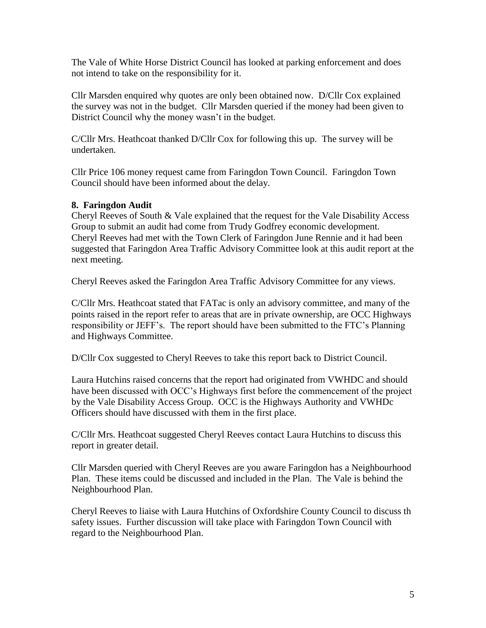The Vale of White Horse District Council has looked at parking enforcement and does not intend to take on the responsibility for it.

Cllr Marsden enquired why quotes are only been obtained now. D/Cllr Cox explained the survey was not in the budget. Cllr Marsden queried if the money had been given to District Council why the money wasn't in the budget.

C/Cllr Mrs. Heathcoat thanked D/Cllr Cox for following this up. The survey will be undertaken.

Cllr Price 106 money request came from Faringdon Town Council. Faringdon Town Council should have been informed about the delay.

#### **8. Faringdon Audit**

Cheryl Reeves of South  $\&$  Vale explained that the request for the Vale Disability Access Group to submit an audit had come from Trudy Godfrey economic development. Cheryl Reeves had met with the Town Clerk of Faringdon June Rennie and it had been suggested that Faringdon Area Traffic Advisory Committee look at this audit report at the next meeting.

Cheryl Reeves asked the Faringdon Area Traffic Advisory Committee for any views.

C/Cllr Mrs. Heathcoat stated that FATac is only an advisory committee, and many of the points raised in the report refer to areas that are in private ownership, are OCC Highways responsibility or JEFF's. The report should have been submitted to the FTC's Planning and Highways Committee.

D/Cllr Cox suggested to Cheryl Reeves to take this report back to District Council.

Laura Hutchins raised concerns that the report had originated from VWHDC and should have been discussed with OCC's Highways first before the commencement of the project by the Vale Disability Access Group. OCC is the Highways Authority and VWHDc Officers should have discussed with them in the first place.

C/Cllr Mrs. Heathcoat suggested Cheryl Reeves contact Laura Hutchins to discuss this report in greater detail.

Cllr Marsden queried with Cheryl Reeves are you aware Faringdon has a Neighbourhood Plan. These items could be discussed and included in the Plan. The Vale is behind the Neighbourhood Plan.

Cheryl Reeves to liaise with Laura Hutchins of Oxfordshire County Council to discuss th safety issues. Further discussion will take place with Faringdon Town Council with regard to the Neighbourhood Plan.